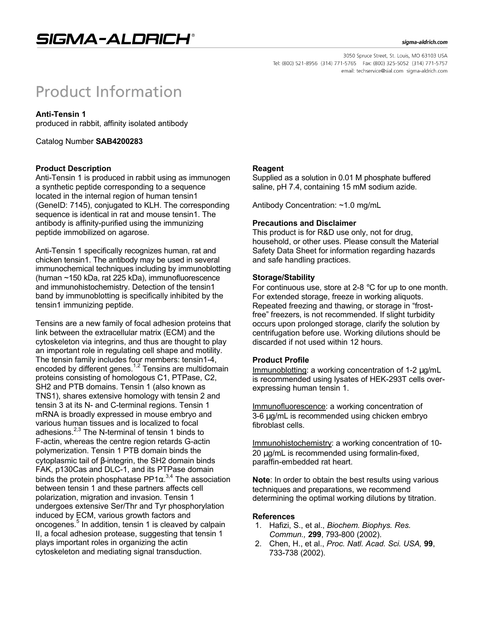#### sigma-aldrich.com

3050 Spruce Street, St. Louis, MO 63103 USA Tel: (800) 521-8956 (314) 771-5765 Fax: (800) 325-5052 (314) 771-5757 email: techservice@sial.com sigma-aldrich.com

# **Product Information**

# **Anti-Tensin 1**

produced in rabbit, affinity isolated antibody

Catalog Number **SAB4200283**

## **Product Description**

Anti-Tensin 1 is produced in rabbit using as immunogen a synthetic peptide corresponding to a sequence located in the internal region of human tensin1 (GeneID: 7145), conjugated to KLH. The corresponding sequence is identical in rat and mouse tensin1. The antibody is affinity-purified using the immunizing peptide immobilized on agarose.

Anti-Tensin 1 specifically recognizes human, rat and chicken tensin1. The antibody may be used in several immunochemical techniques including by immunoblotting (human ~150 kDa, rat 225 kDa), immunofluorescence and immunohistochemistry. Detection of the tensin1 band by immunoblotting is specifically inhibited by the tensin1 immunizing peptide.

Tensins are a new family of focal adhesion proteins that link between the extracellular matrix (ECM) and the cytoskeleton via integrins, and thus are thought to play an important role in regulating cell shape and motility. The tensin family includes four members: tensin1-4, encoded by different genes.<sup>1,2</sup> Tensins are multidomain proteins consisting of homologous C1, PTPase, C2, SH2 and PTB domains. Tensin 1 (also known as TNS1), shares extensive homology with tensin 2 and tensin 3 at its N- and C-terminal regions. Tensin 1 mRNA is broadly expressed in mouse embryo and various human tissues and is localized to focal adhesions. $2,3$  The N-terminal of tensin 1 binds to F-actin, whereas the centre region retards G-actin polymerization. Tensin 1 PTB domain binds the cytoplasmic tail of β-integrin, the SH2 domain binds FAK, p130Cas and DLC-1, and its PTPase domain binds the protein phosphatase PP1 $\alpha$ .<sup>3,4</sup> The association between tensin 1 and these partners affects cell polarization, migration and invasion. Tensin 1 undergoes extensive Ser/Thr and Tyr phosphorylation induced by ECM, various growth factors and oncogenes.<sup>5</sup> In addition, tensin 1 is cleaved by calpain II, a focal adhesion protease, suggesting that tensin 1 plays important roles in organizing the actin cytoskeleton and mediating signal transduction.

## **Reagent**

Supplied as a solution in 0.01 M phosphate buffered saline, pH 7.4, containing 15 mM sodium azide.

Antibody Concentration: ~1.0 mg/mL

## **Precautions and Disclaimer**

This product is for R&D use only, not for drug, household, or other uses. Please consult the Material Safety Data Sheet for information regarding hazards and safe handling practices.

## **Storage/Stability**

For continuous use, store at 2-8 °C for up to one month. For extended storage, freeze in working aliquots. Repeated freezing and thawing, or storage in "frostfree" freezers, is not recommended. If slight turbidity occurs upon prolonged storage, clarify the solution by centrifugation before use. Working dilutions should be discarded if not used within 12 hours.

#### **Product Profile**

Immunoblotting: a working concentration of 1-2 μg/mL is recommended using lysates of HEK-293T cells overexpressing human tensin 1.

Immunofluorescence: a working concentration of 3-6 μg/mL is recommended using chicken embryo fibroblast cells.

Immunohistochemistry: a working concentration of 10- 20 μg/mL is recommended using formalin-fixed, paraffin-embedded rat heart.

**Note**: In order to obtain the best results using various techniques and preparations, we recommend determining the optimal working dilutions by titration.

#### **References**

- 1. Hafizi, S., et al., *Biochem. Biophys. Res. Commun.,* **299**, 793-800 (2002).
- 2. Chen, H., et al., *Proc. Natl. Acad. Sci. USA,* **99**, 733-738 (2002).